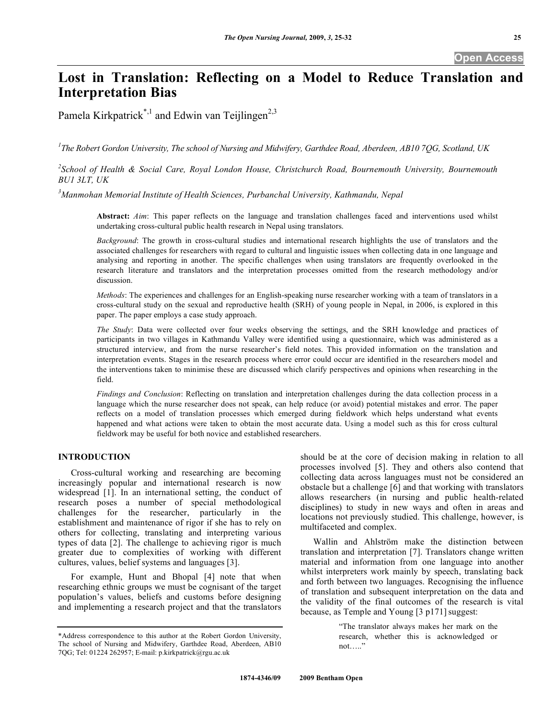# **Lost in Translation: Reflecting on a Model to Reduce Translation and Interpretation Bias**

Pamela Kirkpatrick<sup>\*,1</sup> and Edwin van Teijlingen<sup>2,3</sup>

*1 The Robert Gordon University, The school of Nursing and Midwifery, Garthdee Road, Aberdeen, AB10 7QG, Scotland, UK* 

*2 School of Health & Social Care, Royal London House, Christchurch Road, Bournemouth University, Bournemouth BU1 3LT, UK* 

*3 Manmohan Memorial Institute of Health Sciences, Purbanchal University, Kathmandu, Nepal* 

**Abstract:** *Aim*: This paper reflects on the language and translation challenges faced and interventions used whilst undertaking cross-cultural public health research in Nepal using translators.

*Background*: The growth in cross-cultural studies and international research highlights the use of translators and the associated challenges for researchers with regard to cultural and linguistic issues when collecting data in one language and analysing and reporting in another. The specific challenges when using translators are frequently overlooked in the research literature and translators and the interpretation processes omitted from the research methodology and/or discussion.

*Methods*: The experiences and challenges for an English-speaking nurse researcher working with a team of translators in a cross-cultural study on the sexual and reproductive health (SRH) of young people in Nepal, in 2006, is explored in this paper. The paper employs a case study approach.

*The Study*: Data were collected over four weeks observing the settings, and the SRH knowledge and practices of participants in two villages in Kathmandu Valley were identified using a questionnaire, which was administered as a structured interview, and from the nurse researcher's field notes. This provided information on the translation and interpretation events. Stages in the research process where error could occur are identified in the researchers model and the interventions taken to minimise these are discussed which clarify perspectives and opinions when researching in the field.

*Findings and Conclusion*: Reflecting on translation and interpretation challenges during the data collection process in a language which the nurse researcher does not speak, can help reduce (or avoid) potential mistakes and error. The paper reflects on a model of translation processes which emerged during fieldwork which helps understand what events happened and what actions were taken to obtain the most accurate data. Using a model such as this for cross cultural fieldwork may be useful for both novice and established researchers.

#### **INTRODUCTION**

 Cross-cultural working and researching are becoming increasingly popular and international research is now widespread [1]. In an international setting, the conduct of research poses a number of special methodological challenges for the researcher, particularly in the establishment and maintenance of rigor if she has to rely on others for collecting, translating and interpreting various types of data [2]. The challenge to achieving rigor is much greater due to complexities of working with different cultures, values, belief systems and languages [3].

 For example, Hunt and Bhopal [4] note that when researching ethnic groups we must be cognisant of the target population's values, beliefs and customs before designing and implementing a research project and that the translators should be at the core of decision making in relation to all processes involved [5]. They and others also contend that collecting data across languages must not be considered an obstacle but a challenge [6] and that working with translators allows researchers (in nursing and public health-related disciplines) to study in new ways and often in areas and locations not previously studied. This challenge, however, is multifaceted and complex.

 Wallin and Ahlström make the distinction between translation and interpretation [7]. Translators change written material and information from one language into another whilst interpreters work mainly by speech, translating back and forth between two languages. Recognising the influence of translation and subsequent interpretation on the data and the validity of the final outcomes of the research is vital because, as Temple and Young [3 p171] suggest:

> "The translator always makes her mark on the research, whether this is acknowledged or not….."

<sup>\*</sup>Address correspondence to this author at the Robert Gordon University, The school of Nursing and Midwifery, Garthdee Road, Aberdeen, AB10 7QG; Tel: 01224 262957; E-mail: p.kirkpatrick@rgu.ac.uk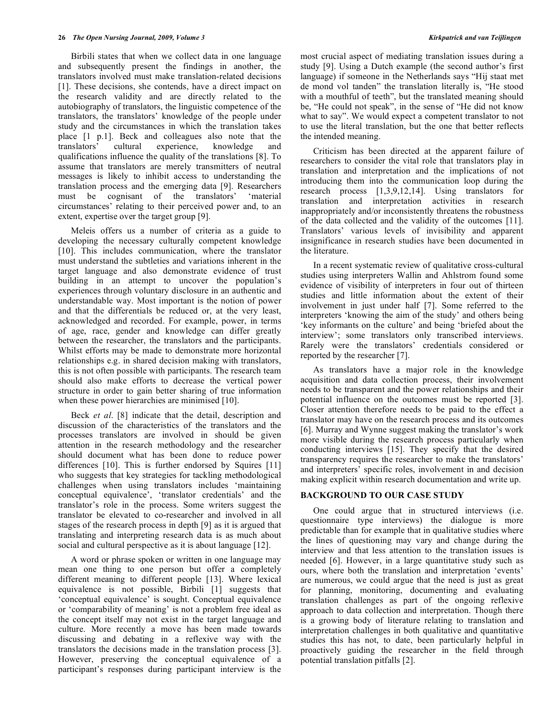Birbili states that when we collect data in one language and subsequently present the findings in another, the translators involved must make translation-related decisions [1]. These decisions, she contends, have a direct impact on the research validity and are directly related to the autobiography of translators, the linguistic competence of the translators, the translators' knowledge of the people under study and the circumstances in which the translation takes place [1 p.1]. Beck and colleagues also note that the translators' cultural experience, knowledge and qualifications influence the quality of the translations [8]. To assume that translators are merely transmitters of neutral messages is likely to inhibit access to understanding the translation process and the emerging data [9]. Researchers must be cognisant of the translators' 'material circumstances' relating to their perceived power and, to an extent, expertise over the target group [9].

 Meleis offers us a number of criteria as a guide to developing the necessary culturally competent knowledge [10]. This includes communication, where the translator must understand the subtleties and variations inherent in the target language and also demonstrate evidence of trust building in an attempt to uncover the population's experiences through voluntary disclosure in an authentic and understandable way. Most important is the notion of power and that the differentials be reduced or, at the very least, acknowledged and recorded. For example, power, in terms of age, race, gender and knowledge can differ greatly between the researcher, the translators and the participants. Whilst efforts may be made to demonstrate more horizontal relationships e.g. in shared decision making with translators, this is not often possible with participants. The research team should also make efforts to decrease the vertical power structure in order to gain better sharing of true information when these power hierarchies are minimised [10].

 Beck *et al*. [8] indicate that the detail, description and discussion of the characteristics of the translators and the processes translators are involved in should be given attention in the research methodology and the researcher should document what has been done to reduce power differences [10]. This is further endorsed by Squires [11] who suggests that key strategies for tackling methodological challenges when using translators includes 'maintaining conceptual equivalence', 'translator credentials' and the translator's role in the process. Some writers suggest the translator be elevated to co-researcher and involved in all stages of the research process in depth [9] as it is argued that translating and interpreting research data is as much about social and cultural perspective as it is about language [12].

 A word or phrase spoken or written in one language may mean one thing to one person but offer a completely different meaning to different people [13]. Where lexical equivalence is not possible, Birbili [1] suggests that 'conceptual equivalence' is sought. Conceptual equivalence or 'comparability of meaning' is not a problem free ideal as the concept itself may not exist in the target language and culture. More recently a move has been made towards discussing and debating in a reflexive way with the translators the decisions made in the translation process [3]. However, preserving the conceptual equivalence of a participant's responses during participant interview is the

most crucial aspect of mediating translation issues during a study [9]. Using a Dutch example (the second author's first language) if someone in the Netherlands says "Hij staat met de mond vol tanden" the translation literally is, "He stood with a mouthful of teeth", but the translated meaning should be, "He could not speak", in the sense of "He did not know what to say". We would expect a competent translator to not to use the literal translation, but the one that better reflects the intended meaning.

 Criticism has been directed at the apparent failure of researchers to consider the vital role that translators play in translation and interpretation and the implications of not introducing them into the communication loop during the research process [1,3,9,12,14]. Using translators for translation and interpretation activities in research inappropriately and/or inconsistently threatens the robustness of the data collected and the validity of the outcomes [11]. Translators' various levels of invisibility and apparent insignificance in research studies have been documented in the literature.

 In a recent systematic review of qualitative cross-cultural studies using interpreters Wallin and Ahlstrom found some evidence of visibility of interpreters in four out of thirteen studies and little information about the extent of their involvement in just under half [7]. Some referred to the interpreters 'knowing the aim of the study' and others being 'key informants on the culture' and being 'briefed about the interview'; some translators only transcribed interviews. Rarely were the translators' credentials considered or reported by the researcher [7].

 As translators have a major role in the knowledge acquisition and data collection process, their involvement needs to be transparent and the power relationships and their potential influence on the outcomes must be reported [3]. Closer attention therefore needs to be paid to the effect a translator may have on the research process and its outcomes [6]. Murray and Wynne suggest making the translator's work more visible during the research process particularly when conducting interviews [15]. They specify that the desired transparency requires the researcher to make the translators' and interpreters' specific roles, involvement in and decision making explicit within research documentation and write up.

## **BACKGROUND TO OUR CASE STUDY**

 One could argue that in structured interviews (i.e. questionnaire type interviews) the dialogue is more predictable than for example that in qualitative studies where the lines of questioning may vary and change during the interview and that less attention to the translation issues is needed [6]. However, in a large quantitative study such as ours, where both the translation and interpretation 'events' are numerous, we could argue that the need is just as great for planning, monitoring, documenting and evaluating translation challenges as part of the ongoing reflexive approach to data collection and interpretation. Though there is a growing body of literature relating to translation and interpretation challenges in both qualitative and quantitative studies this has not, to date, been particularly helpful in proactively guiding the researcher in the field through potential translation pitfalls [2].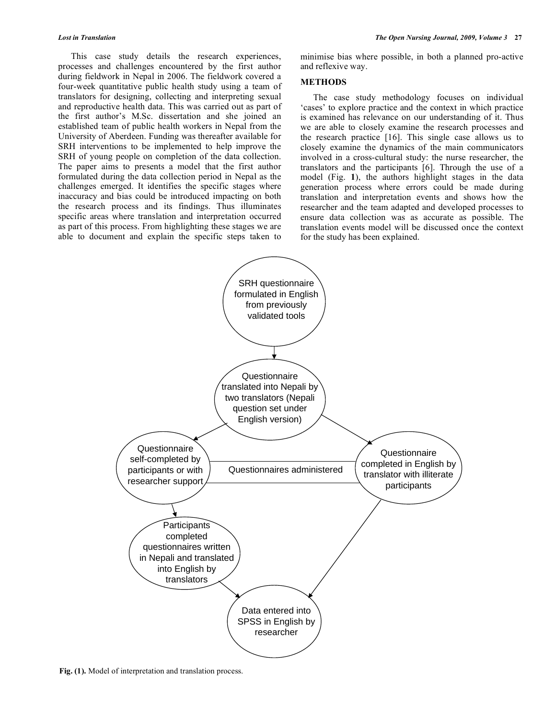This case study details the research experiences, processes and challenges encountered by the first author during fieldwork in Nepal in 2006. The fieldwork covered a four-week quantitative public health study using a team of translators for designing, collecting and interpreting sexual and reproductive health data. This was carried out as part of the first author's M.Sc. dissertation and she joined an established team of public health workers in Nepal from the University of Aberdeen. Funding was thereafter available for SRH interventions to be implemented to help improve the SRH of young people on completion of the data collection. The paper aims to presents a model that the first author formulated during the data collection period in Nepal as the challenges emerged. It identifies the specific stages where inaccuracy and bias could be introduced impacting on both the research process and its findings. Thus illuminates specific areas where translation and interpretation occurred as part of this process. From highlighting these stages we are able to document and explain the specific steps taken to

minimise bias where possible, in both a planned pro-active and reflexive way.

#### **METHODS**

 The case study methodology focuses on individual 'cases' to explore practice and the context in which practice is examined has relevance on our understanding of it. Thus we are able to closely examine the research processes and the research practice [16]. This single case allows us to closely examine the dynamics of the main communicators involved in a cross-cultural study: the nurse researcher, the translators and the participants [6]. Through the use of a model (Fig. **1**), the authors highlight stages in the data generation process where errors could be made during translation and interpretation events and shows how the researcher and the team adapted and developed processes to ensure data collection was as accurate as possible. The translation events model will be discussed once the context for the study has been explained.



**Fig. (1).** Model of interpretation and translation process.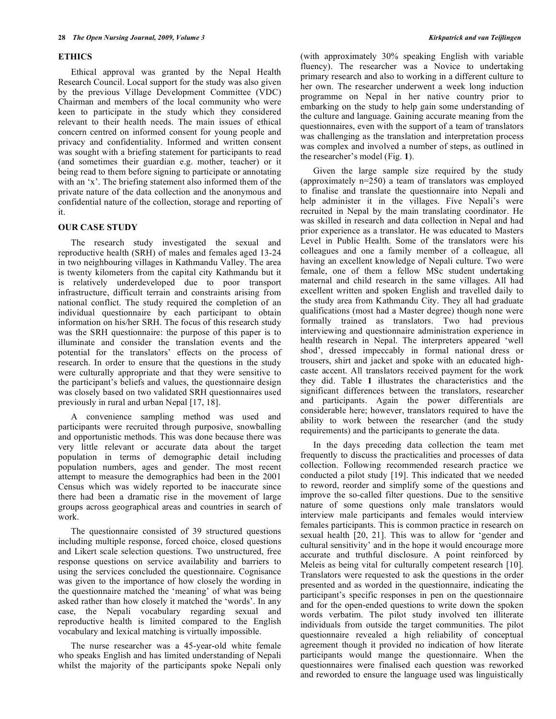#### **ETHICS**

 Ethical approval was granted by the Nepal Health Research Council. Local support for the study was also given by the previous Village Development Committee (VDC) Chairman and members of the local community who were keen to participate in the study which they considered relevant to their health needs. The main issues of ethical concern centred on informed consent for young people and privacy and confidentiality. Informed and written consent was sought with a briefing statement for participants to read (and sometimes their guardian e.g. mother, teacher) or it being read to them before signing to participate or annotating with an 'x'. The briefing statement also informed them of the private nature of the data collection and the anonymous and confidential nature of the collection, storage and reporting of it.

#### **OUR CASE STUDY**

 The research study investigated the sexual and reproductive health (SRH) of males and females aged 13-24 in two neighbouring villages in Kathmandu Valley. The area is twenty kilometers from the capital city Kathmandu but it is relatively underdeveloped due to poor transport infrastructure, difficult terrain and constraints arising from national conflict. The study required the completion of an individual questionnaire by each participant to obtain information on his/her SRH. The focus of this research study was the SRH questionnaire: the purpose of this paper is to illuminate and consider the translation events and the potential for the translators' effects on the process of research. In order to ensure that the questions in the study were culturally appropriate and that they were sensitive to the participant's beliefs and values, the questionnaire design was closely based on two validated SRH questionnaires used previously in rural and urban Nepal [17, 18].

 A convenience sampling method was used and participants were recruited through purposive, snowballing and opportunistic methods. This was done because there was very little relevant or accurate data about the target population in terms of demographic detail including population numbers, ages and gender. The most recent attempt to measure the demographics had been in the 2001 Census which was widely reported to be inaccurate since there had been a dramatic rise in the movement of large groups across geographical areas and countries in search of work.

 The questionnaire consisted of 39 structured questions including multiple response, forced choice, closed questions and Likert scale selection questions. Two unstructured, free response questions on service availability and barriers to using the services concluded the questionnaire. Cognisance was given to the importance of how closely the wording in the questionnaire matched the 'meaning' of what was being asked rather than how closely it matched the 'words'. In any case, the Nepali vocabulary regarding sexual and reproductive health is limited compared to the English vocabulary and lexical matching is virtually impossible.

 The nurse researcher was a 45-year-old white female who speaks English and has limited understanding of Nepali whilst the majority of the participants spoke Nepali only (with approximately 30% speaking English with variable fluency). The researcher was a Novice to undertaking primary research and also to working in a different culture to her own. The researcher underwent a week long induction programme on Nepal in her native country prior to embarking on the study to help gain some understanding of the culture and language. Gaining accurate meaning from the questionnaires, even with the support of a team of translators was challenging as the translation and interpretation process was complex and involved a number of steps, as outlined in the researcher's model (Fig. **1**).

 Given the large sample size required by the study (approximately n=250) a team of translators was employed to finalise and translate the questionnaire into Nepali and help administer it in the villages. Five Nepali's were recruited in Nepal by the main translating coordinator. He was skilled in research and data collection in Nepal and had prior experience as a translator. He was educated to Masters Level in Public Health. Some of the translators were his colleagues and one a family member of a colleague, all having an excellent knowledge of Nepali culture. Two were female, one of them a fellow MSc student undertaking maternal and child research in the same villages. All had excellent written and spoken English and travelled daily to the study area from Kathmandu City. They all had graduate qualifications (most had a Master degree) though none were formally trained as translators. Two had previous interviewing and questionnaire administration experience in health research in Nepal. The interpreters appeared 'well shod', dressed impeccably in formal national dress or trousers, shirt and jacket and spoke with an educated highcaste accent. All translators received payment for the work they did. Table **1** illustrates the characteristics and the significant differences between the translators, researcher and participants. Again the power differentials are considerable here; however, translators required to have the ability to work between the researcher (and the study requirements) and the participants to generate the data.

 In the days preceding data collection the team met frequently to discuss the practicalities and processes of data collection. Following recommended research practice we conducted a pilot study [19]. This indicated that we needed to reword, reorder and simplify some of the questions and improve the so-called filter questions. Due to the sensitive nature of some questions only male translators would interview male participants and females would interview females participants. This is common practice in research on sexual health [20, 21]. This was to allow for 'gender and cultural sensitivity' and in the hope it would encourage more accurate and truthful disclosure. A point reinforced by Meleis as being vital for culturally competent research [10]. Translators were requested to ask the questions in the order presented and as worded in the questionnaire, indicating the participant's specific responses in pen on the questionnaire and for the open-ended questions to write down the spoken words verbatim. The pilot study involved ten illiterate individuals from outside the target communities. The pilot questionnaire revealed a high reliability of conceptual agreement though it provided no indication of how literate participants would mange the questionnaire. When the questionnaires were finalised each question was reworked and reworded to ensure the language used was linguistically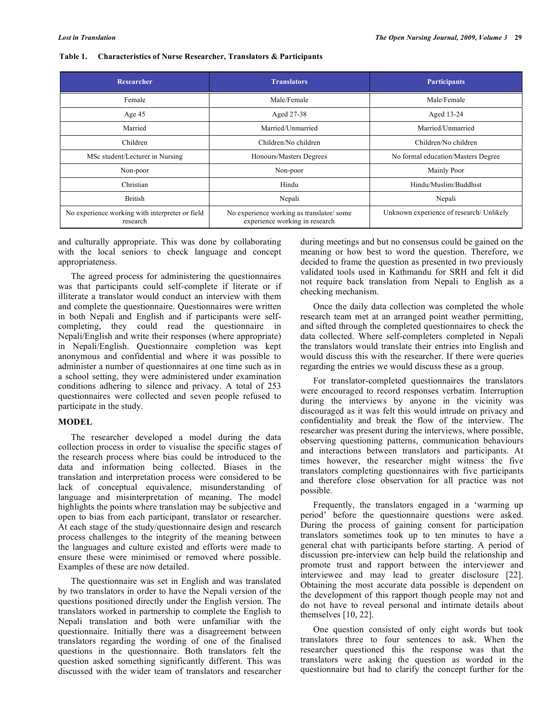#### **Table 1. Characteristics of Nurse Researcher, Translators & Participants**

| Researcher                                                  | <b>Translators</b>                                                         | <b>Participants</b>                      |
|-------------------------------------------------------------|----------------------------------------------------------------------------|------------------------------------------|
| Female                                                      | Male/Female                                                                | Male/Female                              |
| Age $45$                                                    | Aged 27-38                                                                 | Aged 13-24                               |
| Married                                                     | Married/Unmarried                                                          | Married/Unmarried                        |
| Children                                                    | Children/No children                                                       | Children/No children                     |
| MSc student/Lecturer in Nursing                             | Honours/Masters Degrees                                                    | No formal education/Masters Degree       |
| Non-poor                                                    | Non-poor                                                                   | Mainly Poor                              |
| Christian                                                   | Hindu                                                                      | Hindu/Muslim/Buddhist                    |
| <b>British</b>                                              | Nepali                                                                     | Nepali                                   |
| No experience working with interpreter or field<br>research | No experience working as translator/some<br>experience working in research | Unknown experience of research/ Unlikely |

and culturally appropriate. This was done by collaborating with the local seniors to check language and concept appropriateness.

 The agreed process for administering the questionnaires was that participants could self-complete if literate or if illiterate a translator would conduct an interview with them and complete the questionnaire. Questionnaires were written in both Nepali and English and if participants were selfcompleting, they could read the questionnaire in Nepali/English and write their responses (where appropriate) in Nepali/English. Questionnaire completion was kept anonymous and confidential and where it was possible to administer a number of questionnaires at one time such as in a school setting, they were administered under examination conditions adhering to silence and privacy. A total of 253 questionnaires were collected and seven people refused to participate in the study.

#### **MODEL**

 The researcher developed a model during the data collection process in order to visualise the specific stages of the research process where bias could be introduced to the data and information being collected. Biases in the translation and interpretation process were considered to be lack of conceptual equivalence, misunderstanding of language and misinterpretation of meaning. The model highlights the points where translation may be subjective and open to bias from each participant, translator or researcher. At each stage of the study/questionnaire design and research process challenges to the integrity of the meaning between the languages and culture existed and efforts were made to ensure these were minimised or removed where possible. Examples of these are now detailed.

 The questionnaire was set in English and was translated by two translators in order to have the Nepali version of the questions positioned directly under the English version. The translators worked in partnership to complete the English to Nepali translation and both were unfamiliar with the questionnaire. Initially there was a disagreement between translators regarding the wording of one of the finalised questions in the questionnaire. Both translators felt the question asked something significantly different. This was discussed with the wider team of translators and researcher

during meetings and but no consensus could be gained on the meaning or how best to word the question. Therefore, we decided to frame the question as presented in two previously validated tools used in Kathmandu for SRH and felt it did not require back translation from Nepali to English as a checking mechanism.

 Once the daily data collection was completed the whole research team met at an arranged point weather permitting, and sifted through the completed questionnaires to check the data collected. Where self-completers completed in Nepali the translators would translate their entries into English and would discuss this with the researcher. If there were queries regarding the entries we would discuss these as a group.

 For translator-completed questionnaires the translators were encouraged to record responses verbatim. Interruption during the interviews by anyone in the vicinity was discouraged as it was felt this would intrude on privacy and confidentiality and break the flow of the interview. The researcher was present during the interviews, where possible, observing questioning patterns, communication behaviours and interactions between translators and participants. At times however, the researcher might witness the five translators completing questionnaires with five participants and therefore close observation for all practice was not possible.

 Frequently, the translators engaged in a 'warming up period' before the questionnaire questions were asked. During the process of gaining consent for participation translators sometimes took up to ten minutes to have a general chat with participants before starting. A period of discussion pre-interview can help build the relationship and promote trust and rapport between the interviewer and interviewee and may lead to greater disclosure [22]. Obtaining the most accurate data possible is dependent on the development of this rapport though people may not and do not have to reveal personal and intimate details about themselves [10, 22].

 One question consisted of only eight words but took translators three to four sentences to ask. When the researcher questioned this the response was that the translators were asking the question as worded in the questionnaire but had to clarify the concept further for the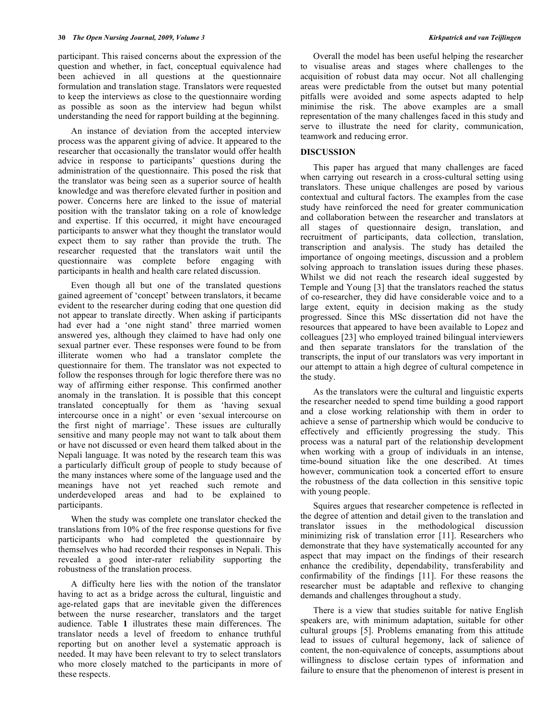participant. This raised concerns about the expression of the question and whether, in fact, conceptual equivalence had been achieved in all questions at the questionnaire formulation and translation stage. Translators were requested to keep the interviews as close to the questionnaire wording as possible as soon as the interview had begun whilst understanding the need for rapport building at the beginning.

 An instance of deviation from the accepted interview process was the apparent giving of advice. It appeared to the researcher that occasionally the translator would offer health advice in response to participants' questions during the administration of the questionnaire. This posed the risk that the translator was being seen as a superior source of health knowledge and was therefore elevated further in position and power. Concerns here are linked to the issue of material position with the translator taking on a role of knowledge and expertise. If this occurred, it might have encouraged participants to answer what they thought the translator would expect them to say rather than provide the truth. The researcher requested that the translators wait until the questionnaire was complete before engaging with participants in health and health care related discussion.

 Even though all but one of the translated questions gained agreement of 'concept' between translators, it became evident to the researcher during coding that one question did not appear to translate directly. When asking if participants had ever had a 'one night stand' three married women answered yes, although they claimed to have had only one sexual partner ever. These responses were found to be from illiterate women who had a translator complete the questionnaire for them. The translator was not expected to follow the responses through for logic therefore there was no way of affirming either response. This confirmed another anomaly in the translation. It is possible that this concept translated conceptually for them as 'having sexual intercourse once in a night' or even 'sexual intercourse on the first night of marriage'. These issues are culturally sensitive and many people may not want to talk about them or have not discussed or even heard them talked about in the Nepali language. It was noted by the research team this was a particularly difficult group of people to study because of the many instances where some of the language used and the meanings have not yet reached such remote and underdeveloped areas and had to be explained to participants.

 When the study was complete one translator checked the translations from 10% of the free response questions for five participants who had completed the questionnaire by themselves who had recorded their responses in Nepali. This revealed a good inter-rater reliability supporting the robustness of the translation process.

 A difficulty here lies with the notion of the translator having to act as a bridge across the cultural, linguistic and age-related gaps that are inevitable given the differences between the nurse researcher, translators and the target audience. Table **1** illustrates these main differences. The translator needs a level of freedom to enhance truthful reporting but on another level a systematic approach is needed. It may have been relevant to try to select translators who more closely matched to the participants in more of these respects.

 Overall the model has been useful helping the researcher to visualise areas and stages where challenges to the acquisition of robust data may occur. Not all challenging areas were predictable from the outset but many potential pitfalls were avoided and some aspects adapted to help minimise the risk. The above examples are a small representation of the many challenges faced in this study and serve to illustrate the need for clarity, communication, teamwork and reducing error.

#### **DISCUSSION**

 This paper has argued that many challenges are faced when carrying out research in a cross-cultural setting using translators. These unique challenges are posed by various contextual and cultural factors. The examples from the case study have reinforced the need for greater communication and collaboration between the researcher and translators at all stages of questionnaire design, translation, and recruitment of participants, data collection, translation, transcription and analysis. The study has detailed the importance of ongoing meetings, discussion and a problem solving approach to translation issues during these phases. Whilst we did not reach the research ideal suggested by Temple and Young [3] that the translators reached the status of co-researcher, they did have considerable voice and to a large extent, equity in decision making as the study progressed. Since this MSc dissertation did not have the resources that appeared to have been available to Lopez and colleagues [23] who employed trained bilingual interviewers and then separate translators for the translation of the transcripts, the input of our translators was very important in our attempt to attain a high degree of cultural competence in the study.

 As the translators were the cultural and linguistic experts the researcher needed to spend time building a good rapport and a close working relationship with them in order to achieve a sense of partnership which would be conducive to effectively and efficiently progressing the study. This process was a natural part of the relationship development when working with a group of individuals in an intense, time-bound situation like the one described. At times however, communication took a concerted effort to ensure the robustness of the data collection in this sensitive topic with young people.

 Squires argues that researcher competence is reflected in the degree of attention and detail given to the translation and translator issues in the methodological discussion minimizing risk of translation error [11]. Researchers who demonstrate that they have systematically accounted for any aspect that may impact on the findings of their research enhance the credibility, dependability, transferability and confirmability of the findings [11]. For these reasons the researcher must be adaptable and reflexive to changing demands and challenges throughout a study.

 There is a view that studies suitable for native English speakers are, with minimum adaptation, suitable for other cultural groups [5]. Problems emanating from this attitude lead to issues of cultural hegemony, lack of salience of content, the non-equivalence of concepts, assumptions about willingness to disclose certain types of information and failure to ensure that the phenomenon of interest is present in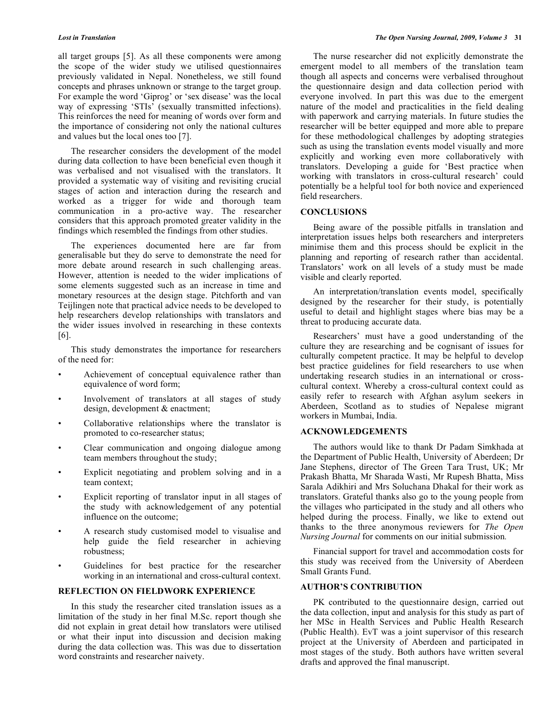all target groups [5]. As all these components were among the scope of the wider study we utilised questionnaires previously validated in Nepal. Nonetheless, we still found concepts and phrases unknown or strange to the target group. For example the word 'Giprog' or 'sex disease' was the local way of expressing 'STIs' (sexually transmitted infections). This reinforces the need for meaning of words over form and the importance of considering not only the national cultures and values but the local ones too [7].

 The researcher considers the development of the model during data collection to have been beneficial even though it was verbalised and not visualised with the translators. It provided a systematic way of visiting and revisiting crucial stages of action and interaction during the research and worked as a trigger for wide and thorough team communication in a pro-active way. The researcher considers that this approach promoted greater validity in the findings which resembled the findings from other studies.

 The experiences documented here are far from generalisable but they do serve to demonstrate the need for more debate around research in such challenging areas. However, attention is needed to the wider implications of some elements suggested such as an increase in time and monetary resources at the design stage. Pitchforth and van Teijlingen note that practical advice needs to be developed to help researchers develop relationships with translators and the wider issues involved in researching in these contexts [6].

 This study demonstrates the importance for researchers of the need for:

- Achievement of conceptual equivalence rather than equivalence of word form;
- Involvement of translators at all stages of study design, development & enactment;
- Collaborative relationships where the translator is promoted to co-researcher status;
- Clear communication and ongoing dialogue among team members throughout the study;
- Explicit negotiating and problem solving and in a team context;
- Explicit reporting of translator input in all stages of the study with acknowledgement of any potential influence on the outcome;
- A research study customised model to visualise and help guide the field researcher in achieving robustness;
- Guidelines for best practice for the researcher working in an international and cross-cultural context.

#### **REFLECTION ON FIELDWORK EXPERIENCE**

 In this study the researcher cited translation issues as a limitation of the study in her final M.Sc. report though she did not explain in great detail how translators were utilised or what their input into discussion and decision making during the data collection was. This was due to dissertation word constraints and researcher naivety.

 The nurse researcher did not explicitly demonstrate the emergent model to all members of the translation team though all aspects and concerns were verbalised throughout the questionnaire design and data collection period with everyone involved. In part this was due to the emergent nature of the model and practicalities in the field dealing with paperwork and carrying materials. In future studies the researcher will be better equipped and more able to prepare for these methodological challenges by adopting strategies such as using the translation events model visually and more explicitly and working even more collaboratively with translators. Developing a guide for 'Best practice when working with translators in cross-cultural research' could potentially be a helpful tool for both novice and experienced field researchers.

#### **CONCLUSIONS**

 Being aware of the possible pitfalls in translation and interpretation issues helps both researchers and interpreters minimise them and this process should be explicit in the planning and reporting of research rather than accidental. Translators' work on all levels of a study must be made visible and clearly reported.

 An interpretation/translation events model, specifically designed by the researcher for their study, is potentially useful to detail and highlight stages where bias may be a threat to producing accurate data.

 Researchers' must have a good understanding of the culture they are researching and be cognisant of issues for culturally competent practice. It may be helpful to develop best practice guidelines for field researchers to use when undertaking research studies in an international or crosscultural context. Whereby a cross-cultural context could as easily refer to research with Afghan asylum seekers in Aberdeen, Scotland as to studies of Nepalese migrant workers in Mumbai, India.

#### **ACKNOWLEDGEMENTS**

 The authors would like to thank Dr Padam Simkhada at the Department of Public Health, University of Aberdeen; Dr Jane Stephens, director of The Green Tara Trust, UK; Mr Prakash Bhatta, Mr Sharada Wasti, Mr Rupesh Bhatta, Miss Sarala Adikhiri and Mrs Soluchana Dhakal for their work as translators. Grateful thanks also go to the young people from the villages who participated in the study and all others who helped during the process. Finally, we like to extend out thanks to the three anonymous reviewers for *The Open Nursing Journal* for comments on our initial submission*.* 

 Financial support for travel and accommodation costs for this study was received from the University of Aberdeen Small Grants Fund.

## **AUTHOR'S CONTRIBUTION**

 PK contributed to the questionnaire design, carried out the data collection, input and analysis for this study as part of her MSc in Health Services and Public Health Research (Public Health). EvT was a joint supervisor of this research project at the University of Aberdeen and participated in most stages of the study. Both authors have written several drafts and approved the final manuscript.